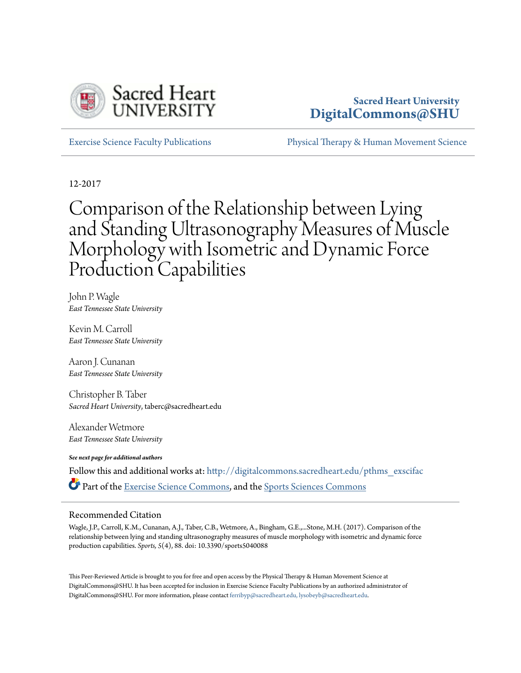

### **Sacred Heart University [DigitalCommons@SHU](http://digitalcommons.sacredheart.edu?utm_source=digitalcommons.sacredheart.edu%2Fpthms_exscifac%2F8&utm_medium=PDF&utm_campaign=PDFCoverPages)**

[Exercise Science Faculty Publications](http://digitalcommons.sacredheart.edu/pthms_exscifac?utm_source=digitalcommons.sacredheart.edu%2Fpthms_exscifac%2F8&utm_medium=PDF&utm_campaign=PDFCoverPages) [Physical Therapy & Human Movement Science](http://digitalcommons.sacredheart.edu/pthms?utm_source=digitalcommons.sacredheart.edu%2Fpthms_exscifac%2F8&utm_medium=PDF&utm_campaign=PDFCoverPages)

12-2017

# Comparison of the Relationship between Lying and Standing Ultrasonography Measures of Muscle Morphology with Isometric and Dynamic Force Production Capabilities

John P. Wagle *East Tennessee State University*

Kevin M. Carroll *East Tennessee State University*

Aaron J. Cunanan *East Tennessee State University*

Christopher B. Taber *Sacred Heart University*, taberc@sacredheart.edu

Alexander Wetmore *East Tennessee State University*

*See next page for additional authors*

Follow this and additional works at: [http://digitalcommons.sacredheart.edu/pthms\\_exscifac](http://digitalcommons.sacredheart.edu/pthms_exscifac?utm_source=digitalcommons.sacredheart.edu%2Fpthms_exscifac%2F8&utm_medium=PDF&utm_campaign=PDFCoverPages) Part of the [Exercise Science Commons,](http://network.bepress.com/hgg/discipline/1091?utm_source=digitalcommons.sacredheart.edu%2Fpthms_exscifac%2F8&utm_medium=PDF&utm_campaign=PDFCoverPages) and the [Sports Sciences Commons](http://network.bepress.com/hgg/discipline/759?utm_source=digitalcommons.sacredheart.edu%2Fpthms_exscifac%2F8&utm_medium=PDF&utm_campaign=PDFCoverPages)

### Recommended Citation

Wagle, J.P., Carroll, K.M., Cunanan, A.J., Taber, C.B., Wetmore, A., Bingham, G.E.,...Stone, M.H. (2017). Comparison of the relationship between lying and standing ultrasonography measures of muscle morphology with isometric and dynamic force production capabilities. *Sports, 5*(4), 88. doi: 10.3390/sports5040088

This Peer-Reviewed Article is brought to you for free and open access by the Physical Therapy & Human Movement Science at DigitalCommons@SHU. It has been accepted for inclusion in Exercise Science Faculty Publications by an authorized administrator of DigitalCommons@SHU. For more information, please contact [ferribyp@sacredheart.edu, lysobeyb@sacredheart.edu.](mailto:ferribyp@sacredheart.edu,%20lysobeyb@sacredheart.edu)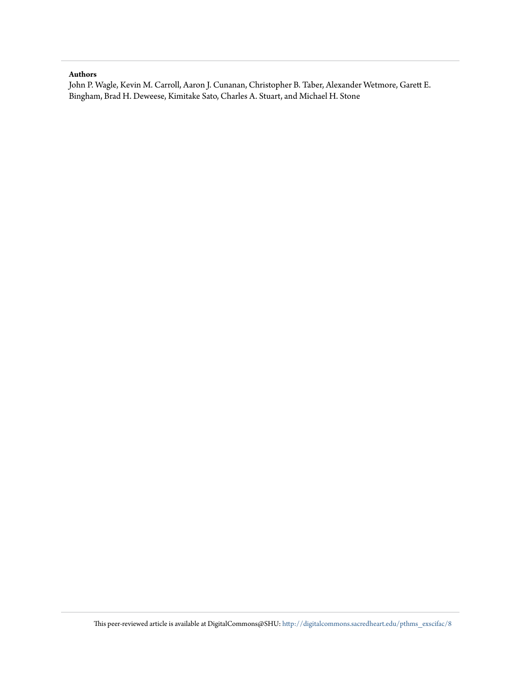### **Authors**

John P. Wagle, Kevin M. Carroll, Aaron J. Cunanan, Christopher B. Taber, Alexander Wetmore, Garett E. Bingham, Brad H. Deweese, Kimitake Sato, Charles A. Stuart, and Michael H. Stone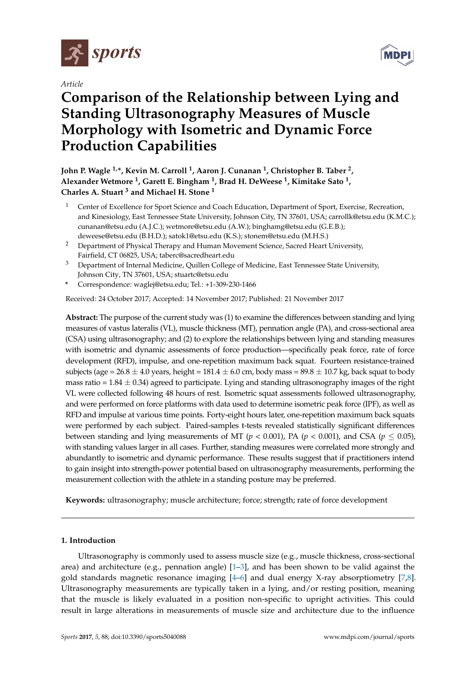

*Article*

# **Comparison of the Relationship between Lying and Standing Ultrasonography Measures of Muscle Morphology with Isometric and Dynamic Force Production Capabilities**

**John P. Wagle 1,\*, Kevin M. Carroll <sup>1</sup> , Aaron J. Cunanan <sup>1</sup> , Christopher B. Taber <sup>2</sup> , Alexander Wetmore <sup>1</sup> , Garett E. Bingham <sup>1</sup> , Brad H. DeWeese <sup>1</sup> , Kimitake Sato <sup>1</sup> , Charles A. Stuart <sup>3</sup> and Michael H. Stone <sup>1</sup>**

- <sup>1</sup> Center of Excellence for Sport Science and Coach Education, Department of Sport, Exercise, Recreation, and Kinesiology, East Tennessee State University, Johnson City, TN 37601, USA; carrollk@etsu.edu (K.M.C.); cunanan@etsu.edu (A.J.C.); wetmore@etsu.edu (A.W.); binghamg@etsu.edu (G.E.B.); deweese@etsu.edu (B.H.D.); satok1@etsu.edu (K.S.); stonem@etsu.edu (M.H.S.)
- <sup>2</sup> Department of Physical Therapy and Human Movement Science, Sacred Heart University, Fairfield, CT 06825, USA; taberc@sacredheart.edu
- <sup>3</sup> Department of Internal Medicine, Quillen College of Medicine, East Tennessee State University, Johnson City, TN 37601, USA; stuartc@etsu.edu
- **\*** Correspondence: waglej@etsu.edu; Tel.: +1-309-230-1466

Received: 24 October 2017; Accepted: 14 November 2017; Published: 21 November 2017

**Abstract:** The purpose of the current study was (1) to examine the differences between standing and lying measures of vastus lateralis (VL), muscle thickness (MT), pennation angle (PA), and cross-sectional area (CSA) using ultrasonography; and (2) to explore the relationships between lying and standing measures with isometric and dynamic assessments of force production—specifically peak force, rate of force development (RFD), impulse, and one-repetition maximum back squat. Fourteen resistance-trained subjects (age =  $26.8 \pm 4.0$  years, height =  $181.4 \pm 6.0$  cm, body mass =  $89.8 \pm 10.7$  kg, back squat to body mass ratio  $= 1.84 \pm 0.34$ ) agreed to participate. Lying and standing ultrasonography images of the right VL were collected following 48 hours of rest. Isometric squat assessments followed ultrasonography, and were performed on force platforms with data used to determine isometric peak force (IPF), as well as RFD and impulse at various time points. Forty-eight hours later, one-repetition maximum back squats were performed by each subject. Paired-samples t-tests revealed statistically significant differences between standing and lying measurements of MT ( $p < 0.001$ ), PA ( $p < 0.001$ ), and CSA ( $p \le 0.05$ ), with standing values larger in all cases. Further, standing measures were correlated more strongly and abundantly to isometric and dynamic performance. These results suggest that if practitioners intend to gain insight into strength-power potential based on ultrasonography measurements, performing the measurement collection with the athlete in a standing posture may be preferred.

**Keywords:** ultrasonography; muscle architecture; force; strength; rate of force development

### **1. Introduction**

Ultrasonography is commonly used to assess muscle size (e.g., muscle thickness, cross-sectional area) and architecture (e.g., pennation angle) [\[1–](#page-9-0)[3\]](#page-9-1), and has been shown to be valid against the gold standards magnetic resonance imaging [\[4](#page-9-2)[–6\]](#page-10-0) and dual energy X-ray absorptiometry [\[7,](#page-10-1)[8\]](#page-10-2). Ultrasonography measurements are typically taken in a lying, and/or resting position, meaning that the muscle is likely evaluated in a position non-specific to upright activities. This could result in large alterations in measurements of muscle size and architecture due to the influence

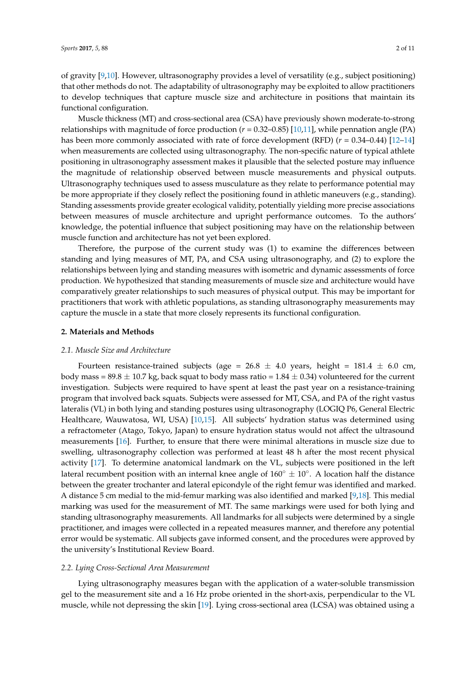of gravity [\[9,](#page-10-3)[10\]](#page-10-4). However, ultrasonography provides a level of versatility (e.g., subject positioning) that other methods do not. The adaptability of ultrasonography may be exploited to allow practitioners to develop techniques that capture muscle size and architecture in positions that maintain its functional configuration.

Muscle thickness (MT) and cross-sectional area (CSA) have previously shown moderate-to-strong relationships with magnitude of force production (*r* = 0.32–0.85) [\[10,](#page-10-4)[11\]](#page-10-5), while pennation angle (PA) has been more commonly associated with rate of force development (RFD) (*r* = 0.34–0.44) [\[12](#page-10-6)[–14\]](#page-10-7) when measurements are collected using ultrasonography. The non-specific nature of typical athlete positioning in ultrasonography assessment makes it plausible that the selected posture may influence the magnitude of relationship observed between muscle measurements and physical outputs. Ultrasonography techniques used to assess musculature as they relate to performance potential may be more appropriate if they closely reflect the positioning found in athletic maneuvers (e.g., standing). Standing assessments provide greater ecological validity, potentially yielding more precise associations between measures of muscle architecture and upright performance outcomes. To the authors' knowledge, the potential influence that subject positioning may have on the relationship between muscle function and architecture has not yet been explored.

Therefore, the purpose of the current study was (1) to examine the differences between standing and lying measures of MT, PA, and CSA using ultrasonography, and (2) to explore the relationships between lying and standing measures with isometric and dynamic assessments of force production. We hypothesized that standing measurements of muscle size and architecture would have comparatively greater relationships to such measures of physical output. This may be important for practitioners that work with athletic populations, as standing ultrasonography measurements may capture the muscle in a state that more closely represents its functional configuration.

#### **2. Materials and Methods**

### *2.1. Muscle Size and Architecture*

Fourteen resistance-trained subjects (age =  $26.8 \pm 4.0$  years, height =  $181.4 \pm 6.0$  cm, body mass = 89.8  $\pm$  10.7 kg, back squat to body mass ratio = 1.84  $\pm$  0.34) volunteered for the current investigation. Subjects were required to have spent at least the past year on a resistance-training program that involved back squats. Subjects were assessed for MT, CSA, and PA of the right vastus lateralis (VL) in both lying and standing postures using ultrasonography (LOGIQ P6, General Electric Healthcare, Wauwatosa, WI, USA) [\[10,](#page-10-4)[15\]](#page-10-8). All subjects' hydration status was determined using a refractometer (Atago, Tokyo, Japan) to ensure hydration status would not affect the ultrasound measurements [\[16\]](#page-10-9). Further, to ensure that there were minimal alterations in muscle size due to swelling, ultrasonography collection was performed at least 48 h after the most recent physical activity [\[17\]](#page-10-10). To determine anatomical landmark on the VL, subjects were positioned in the left lateral recumbent position with an internal knee angle of  $160^{\circ} \pm 10^{\circ}$ . A location half the distance between the greater trochanter and lateral epicondyle of the right femur was identified and marked. A distance 5 cm medial to the mid-femur marking was also identified and marked [\[9](#page-10-3)[,18\]](#page-10-11). This medial marking was used for the measurement of MT. The same markings were used for both lying and standing ultrasonography measurements. All landmarks for all subjects were determined by a single practitioner, and images were collected in a repeated measures manner, and therefore any potential error would be systematic. All subjects gave informed consent, and the procedures were approved by the university's Institutional Review Board.

#### *2.2. Lying Cross-Sectional Area Measurement*

Lying ultrasonography measures began with the application of a water-soluble transmission gel to the measurement site and a 16 Hz probe oriented in the short-axis, perpendicular to the VL muscle, while not depressing the skin [\[19\]](#page-10-12). Lying cross-sectional area (LCSA) was obtained using a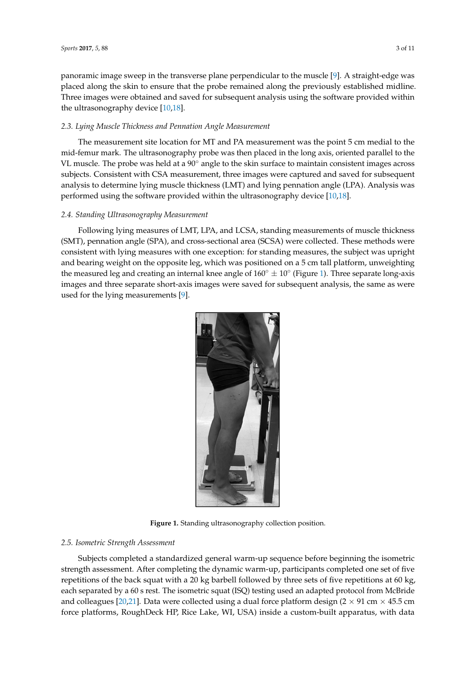panoramic image sweep in the transverse plane perpendicular to the muscle [\[9\]](#page-10-3). A straight-edge was placed along the skin to ensure that the probe remained along the previously established midline. Three images were obtained and saved for subsequent analysis using the software provided within the ultrasonography device  $[10,18]$  $[10,18]$ .

## 2.3. Lying Muscle Thickness and Pennation Angle Measurement

The measurement site location for MT and PA measurement was the point 5 cm medial to the mid-femur mark. The ultrasonography probe was then placed in the long axis, oriented parallel to the<br>Muscle of this condition and lying pennation and lying pennation and lying pennation and lying pennation angle VL muscle. The probe was held at a  $90^\circ$  angle to the skin surface to maintain consistent images across subjects. Consistent with CSA measurement, three images were captured and saved for subsequent analysis to determine lying muscle thickness (LMT) and lying pennation angle (LPA). Analysis was performed using the software provided within the ultrasonography device [\[10,](#page-10-4)[18\]](#page-10-11).

### 2.4. Standing Ultrasonography Measurement **Example 2008**

Following lying measures of LMT, LPA, and LCSA, standing measurements of muscle thickness (SMT), pennation angle (SPA), and cross-sectional area (SCSA) were collected. These methods were consistent with lying measures with one exception: for standing measures, the subject was upright and bearing weight on the opposite leg, which was positioned on a 5 cm tall platform, unweighting the measured leg and creating an internal knee angle of  $160° \pm 10°$  (Figure [1\)](#page-4-0). Three separate long-axis improvement at the same asset of the same asset of the same asset of the same asset of the same asset of the same a images and three separate short-axis images were saved for subsequent analysis, the same as were used for the lying measurements [\[9\]](#page-10-3). were used for the lying measurements [9].

<span id="page-4-0"></span>

**Figure 1.** Standing ultrasonography collection position. **Figure 1.** Standing ultrasonography collection position.

# *2.5. Isometric Strength Assessment 2.5. Isometric Strength Assessment*

strength assessment. After completing the dynamic warm-up, participants completed one set of five repetitions of the back squat with a 20 kg barbell followed by three sets of five repetitions at 60 kg, each separated by a 60 s rest. The isometric squat (ISQ) testing used an adapted protocol from McBride and colleagues [\[20](#page-10-13)[,21\]](#page-10-14). Data were collected using a dual force platform design ( $2 \times 91$  cm  $\times 45.5$  cm force platforms, RoughDeck HP, Rice Lake, WI, USA) inside a custom-built apparatus, with data Subjects completed a standardized general warm-up sequence before beginning the isometric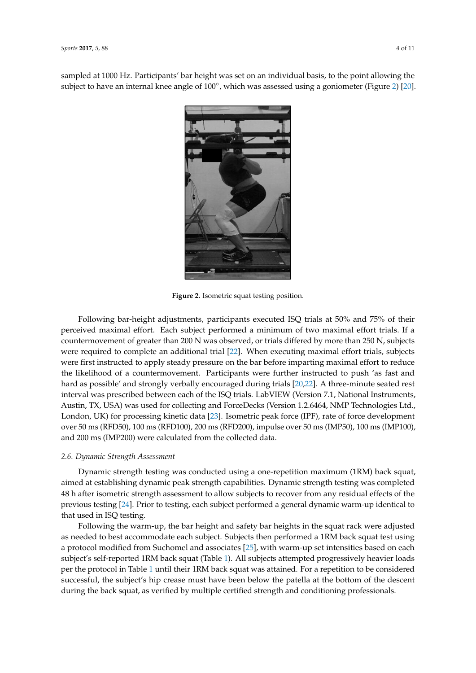<span id="page-5-0"></span>sampled at 1000 Hz. Participants' bar height was set on an individual basis, to the point allowing the subject to have an internal knee angle of 100°, which was assessed using a goniometer (Figure [2\)](#page-5-0) [\[20\]](#page-10-13).



**Figure 2.** Isometric squat testing position. **Figure 2.** Isometric squat testing position.

Following bar-height adjustments, participants executed ISQ trials at 50% and 75% of their participants executed ISQ trials at 50% and 75% of their perceived maximum of the subject performed a minimum of two maximum of two maximum of the subjects countermovement of greater than 200 N was observed, or trials differed by more than 250 N, subjects were required to complete an additional trial [22]. When executing maximal effort trials, subjects were first instructed to apply steady pressure on the bar before imparting maximal effort to reduce the likelihood of a countermovement. Participants were further instructed to push 'as fast and hard as possible' and strongly verbally encouraged during trials [\[20](#page-10-13)[,22\]](#page-10-15). A three-minute seated rest<br>integral were associated between seated fits ISO trials LebUEW (Mexico 7.1 Netting) Instruments Austin, TX, USA) was used for collecting and ForceDecks (Version 1.2.6464, NMP Technologies Ltd., London, UK) for processing kinetic data [23]. Isometric peak force (IPF), rate of force development over 50 ms (RFD50), 100 ms (RFD100), 200 ms (RFD200), impulse over 50 ms (IMP50), 100 ms (IMP100), and 200 ms (IMP200) were calculated from the collected data. perceived maximal effort. Each subject performed a minimum of two maximal effort trials. If a interval was prescribed between each of the ISQ trials. LabVIEW (Version 7.1, National Instruments,

### over 50 ms (RFD50), 100 ms (RFD100), 200 ms (RFD200), impulse over 50 ms (IMP50), 100 ms *2.6. Dynamic Strength Assessment*

Dynamic strength testing was conducted using a one-repetition maximum (1RM) back squat, *2.6. Dynamic Strength Assessment*  48 h after isometric strength assessment to allow subjects to recover from any residual effects of the previous testing [\[24\]](#page-10-17). Prior to testing, each subject performed a general dynamic warm-up identical to<br>that wead in JSO testing aimed at establishing dynamic peak strength capabilities. Dynamic strength testing was completed that used in ISQ testing.

Following the warm-up, the bar height and safety bar heights in the squat rack were adjusted as needed to best accommodate each subject. Subjects then performed a 1RM back squat test using a protocol modified from Suchomel and associates [25], with warm-up set intensities based on each subject's self-reported 1RM back squat (Table [1\)](#page-6-0). All subjects attempted progressively heavier loads per the protocol in table 1 thin their fixin back squat was attained. For a repetition to be considered successful, the subject's hip crease must have been below the patella at the bottom of the descent during the back squat, as verified by multiple certified strength and conditioning professionals. per the protocol in Table [1](#page-6-0) until their 1RM back squat was attained. For a repetition to be considered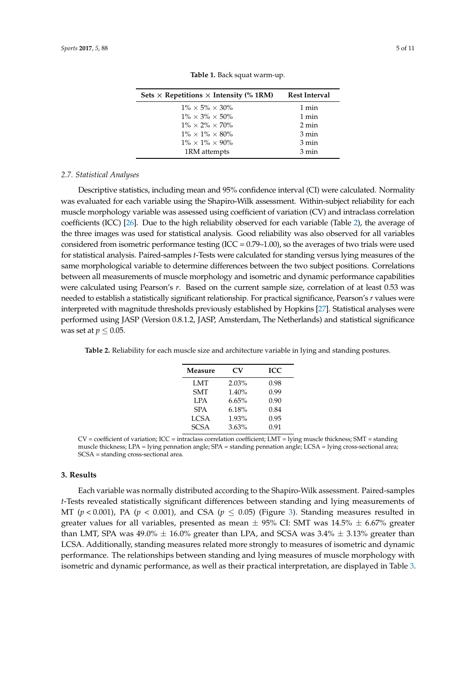<span id="page-6-0"></span>

| Sets $\times$ Repetitions $\times$ Intensity (% 1RM) | <b>Rest Interval</b> |
|------------------------------------------------------|----------------------|
| $1\% \times 5\% \times 30\%$                         | 1 min                |
| $1\% \times 3\% \times 50\%$                         | 1 min                |
| $1\% \times 2\% \times 70\%$                         | 2 min                |
| $1\% \times 1\% \times 80\%$                         | $3 \text{ min}$      |
| $1\% \times 1\% \times 90\%$                         | 3 min                |
| 1RM attempts                                         | $3 \text{ min}$      |

**Table 1.** Back squat warm-up.

#### *2.7. Statistical Analyses*

Descriptive statistics, including mean and 95% confidence interval (CI) were calculated. Normality was evaluated for each variable using the Shapiro-Wilk assessment. Within-subject reliability for each muscle morphology variable was assessed using coefficient of variation (CV) and intraclass correlation coefficients (ICC) [\[26\]](#page-11-1). Due to the high reliability observed for each variable (Table [2\)](#page-6-1), the average of the three images was used for statistical analysis. Good reliability was also observed for all variables considered from isometric performance testing  $(ICC = 0.79-1.00)$ , so the averages of two trials were used for statistical analysis. Paired-samples *t*-Tests were calculated for standing versus lying measures of the same morphological variable to determine differences between the two subject positions. Correlations between all measurements of muscle morphology and isometric and dynamic performance capabilities were calculated using Pearson's *r*. Based on the current sample size, correlation of at least 0.53 was needed to establish a statistically significant relationship. For practical significance, Pearson's *r* values were interpreted with magnitude thresholds previously established by Hopkins [\[27\]](#page-11-2). Statistical analyses were performed using JASP (Version 0.8.1.2, JASP, Amsterdam, The Netherlands) and statistical significance was set at  $p \leq 0.05$ .

<span id="page-6-1"></span>**Table 2.** Reliability for each muscle size and architecture variable in lying and standing postures.

| Measure     | CV    | <b>ICC</b> |  |  |
|-------------|-------|------------|--|--|
| LMT         | 2.03% | 0.98       |  |  |
| <b>SMT</b>  | 1.40% | 0.99       |  |  |
| <b>LPA</b>  | 6.65% | 0.90       |  |  |
| <b>SPA</b>  | 6.18% | 0.84       |  |  |
| <b>LCSA</b> | 1.93% | 0.95       |  |  |
| <b>SCSA</b> | 3.63% | 0.91       |  |  |

 $CV = coefficient of variation; ICC = intraclass correlation coefficient; LMT = lying muscle thickness; SMT = standing$ muscle thickness; LPA = lying pennation angle; SPA = standing pennation angle; LCSA = lying cross-sectional area; SCSA = standing cross-sectional area.

#### **3. Results**

Each variable was normally distributed according to the Shapiro-Wilk assessment. Paired-samples *t*-Tests revealed statistically significant differences between standing and lying measurements of MT ( $p < 0.001$ ), PA ( $p < 0.001$ ), and CSA ( $p \le 0.05$ ) (Figure [3\)](#page-7-0). Standing measures resulted in greater values for all variables, presented as mean  $\pm$  95% CI: SMT was 14.5%  $\pm$  6.67% greater than LMT, SPA was  $49.0\% \pm 16.0\%$  greater than LPA, and SCSA was  $3.4\% \pm 3.13\%$  greater than LCSA. Additionally, standing measures related more strongly to measures of isometric and dynamic performance. The relationships between standing and lying measures of muscle morphology with isometric and dynamic performance, as well as their practical interpretation, are displayed in Table [3.](#page-7-1)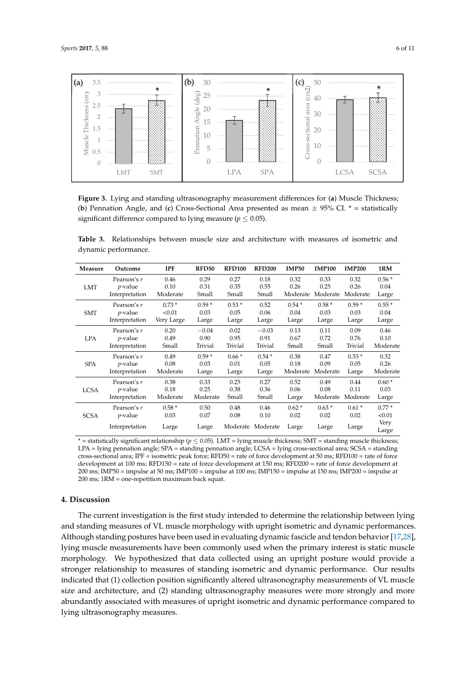<span id="page-7-0"></span>

**Figure 3.** Lying and standing ultrasonography measurement differences for (**a**) Muscle Thickness; (**b**) Pennation Angle, and (**c**) Cross-Sectional Area presented as mean ± 95% CI. \* = statistically significant difference compared to lying measure ( $p \leq 0.05$ ).

<span id="page-7-1"></span>**Table 3.** Relationships between muscle size and architecture with measures of isometric and dynamic performance.

| Measure     | Outcome         | <b>IPF</b> | RFD50    | <b>RFD100</b> | <b>RFD200</b>     | <b>IMP50</b> | <b>IMP100</b> | <b>IMP200</b> | 1RM      |
|-------------|-----------------|------------|----------|---------------|-------------------|--------------|---------------|---------------|----------|
| LMT         | Pearson's r     | 0.46       | 0.29     | 0.27          | 0.18              | 0.32         | 0.33          | 0.32          | $0.56*$  |
|             | <i>p</i> -value | 0.10       | 0.31     | 0.35          | 0.55              | 0.26         | 0.25          | 0.26          | 0.04     |
|             | Interpretation  | Moderate   | Small    | Small         | Small             | Moderate     | Moderate      | Moderate      | Large    |
| <b>SMT</b>  | Pearson's r     | $0.73*$    | $0.59*$  | $0.53*$       | 0.52              | $0.54*$      | $0.58*$       | $0.59*$       | $0.55*$  |
|             | <i>p</i> -value | < 0.01     | 0.03     | 0.05          | 0.06              | 0.04         | 0.03          | 0.03          | 0.04     |
|             | Interpretation  | Very Large | Large    | Large         | Large             | Large        | Large         | Large         | Large    |
| <b>LPA</b>  | Pearson's r     | 0.20       | $-0.04$  | 0.02          | $-0.03$           | 0.13         | 0.11          | 0.09          | 0.46     |
|             | <i>p</i> -value | 0.49       | 0.90     | 0.95          | 0.91              | 0.67         | 0.72          | 0.76          | 0.10     |
|             | Interpretation  | Small      | Trivial  | Trivial       | Trivial           | Small        | Small         | Trivial       | Moderate |
| <b>SPA</b>  | Pearson's r     | 0.49       | $0.59*$  | $0.66*$       | $0.54*$           | 0.38         | 0.47          | $0.53*$       | 0.32     |
|             | <i>p</i> -value | 0.08       | 0.03     | 0.01          | 0.05              | 0.18         | 0.09          | 0.05          | 0.26     |
|             | Interpretation  | Moderate   | Large    | Large         | Large             | Moderate     | Moderate      | Large         | Moderate |
| <b>LCSA</b> | Pearson's r     | 0.38       | 0.33     | 0.25          | 0.27              | 0.52         | 0.49          | 0.44          | $0.60*$  |
|             | <i>p</i> -value | 0.18       | 0.25     | 0.38          | 0.36              | 0.06         | 0.08          | 0.11          | 0.03     |
|             | Interpretation  | Moderate   | Moderate | Small         | Small             | Large        | Moderate      | Moderate      | Large    |
| <b>SCSA</b> | Pearson's r     | $0.58*$    | 0.50     | 0.48          | 0.46              | $0.62*$      | $0.63*$       | $0.61*$       | $0.77*$  |
|             | <i>p</i> -value | 0.03       | 0.07     | 0.08          | 0.10              | 0.02         | 0.02          | 0.02          | < 0.01   |
|             | Interpretation  | Large      |          |               | Moderate Moderate | Large        | Large         | Large         | Very     |
|             |                 |            | Large    |               |                   |              |               |               | Large    |

\* = statistically significant relationship (*p* ≤ 0.05). LMT = lying muscle thickness; SMT = standing muscle thickness; LPA = lying pennation angle; SPA = standing pennation angle; LCSA = lying cross-sectional area; SCSA = standing cross-sectional area; IPF = isometric peak force; RFD50 = rate of force development at 50 ms; RFD100 = rate of force development at 100 ms; RFD150 = rate of force development at 150 ms; RFD200 = rate of force development at 200 ms; IMP50 = impulse at 50 ms; IMP100 = impulse at 100 ms; IMP150 = impulse at 150 ms; IMP200 = impulse at 200 ms; 1RM = one-repetition maximum back squat.

### **4. Discussion**

The current investigation is the first study intended to determine the relationship between lying and standing measures of VL muscle morphology with upright isometric and dynamic performances. Although standing postures have been used in evaluating dynamic fascicle and tendon behavior [\[17](#page-10-10)[,28\]](#page-11-3), lying muscle measurements have been commonly used when the primary interest is static muscle morphology. We hypothesized that data collected using an upright posture would provide a stronger relationship to measures of standing isometric and dynamic performance. Our results indicated that (1) collection position significantly altered ultrasonography measurements of VL muscle size and architecture, and (2) standing ultrasonography measures were more strongly and more abundantly associated with measures of upright isometric and dynamic performance compared to lying ultrasonography measures.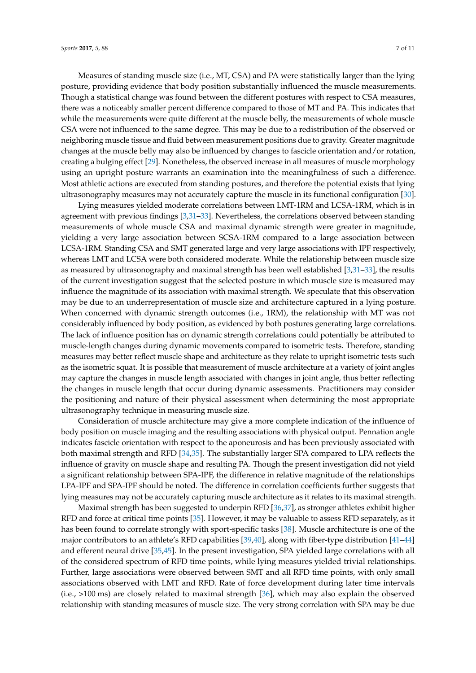Measures of standing muscle size (i.e., MT, CSA) and PA were statistically larger than the lying posture, providing evidence that body position substantially influenced the muscle measurements. Though a statistical change was found between the different postures with respect to CSA measures, there was a noticeably smaller percent difference compared to those of MT and PA. This indicates that while the measurements were quite different at the muscle belly, the measurements of whole muscle CSA were not influenced to the same degree. This may be due to a redistribution of the observed or neighboring muscle tissue and fluid between measurement positions due to gravity. Greater magnitude changes at the muscle belly may also be influenced by changes to fascicle orientation and/or rotation, creating a bulging effect [\[29\]](#page-11-4). Nonetheless, the observed increase in all measures of muscle morphology using an upright posture warrants an examination into the meaningfulness of such a difference. Most athletic actions are executed from standing postures, and therefore the potential exists that lying ultrasonography measures may not accurately capture the muscle in its functional configuration [\[30\]](#page-11-5).

Lying measures yielded moderate correlations between LMT-1RM and LCSA-1RM, which is in agreement with previous findings [\[3,](#page-9-1)[31–](#page-11-6)[33\]](#page-11-7). Nevertheless, the correlations observed between standing measurements of whole muscle CSA and maximal dynamic strength were greater in magnitude, yielding a very large association between SCSA-1RM compared to a large association between LCSA-1RM. Standing CSA and SMT generated large and very large associations with IPF respectively, whereas LMT and LCSA were both considered moderate. While the relationship between muscle size as measured by ultrasonography and maximal strength has been well established [\[3,](#page-9-1)[31](#page-11-6)[–33\]](#page-11-7), the results of the current investigation suggest that the selected posture in which muscle size is measured may influence the magnitude of its association with maximal strength. We speculate that this observation may be due to an underrepresentation of muscle size and architecture captured in a lying posture. When concerned with dynamic strength outcomes (i.e., 1RM), the relationship with MT was not considerably influenced by body position, as evidenced by both postures generating large correlations. The lack of influence position has on dynamic strength correlations could potentially be attributed to muscle-length changes during dynamic movements compared to isometric tests. Therefore, standing measures may better reflect muscle shape and architecture as they relate to upright isometric tests such as the isometric squat. It is possible that measurement of muscle architecture at a variety of joint angles may capture the changes in muscle length associated with changes in joint angle, thus better reflecting the changes in muscle length that occur during dynamic assessments. Practitioners may consider the positioning and nature of their physical assessment when determining the most appropriate ultrasonography technique in measuring muscle size.

Consideration of muscle architecture may give a more complete indication of the influence of body position on muscle imaging and the resulting associations with physical output. Pennation angle indicates fascicle orientation with respect to the aponeurosis and has been previously associated with both maximal strength and RFD [\[34,](#page-11-8)[35\]](#page-11-9). The substantially larger SPA compared to LPA reflects the influence of gravity on muscle shape and resulting PA. Though the present investigation did not yield a significant relationship between SPA-IPF, the difference in relative magnitude of the relationships LPA-IPF and SPA-IPF should be noted. The difference in correlation coefficients further suggests that lying measures may not be accurately capturing muscle architecture as it relates to its maximal strength.

Maximal strength has been suggested to underpin RFD [\[36,](#page-11-10)[37\]](#page-11-11), as stronger athletes exhibit higher RFD and force at critical time points [\[35\]](#page-11-9). However, it may be valuable to assess RFD separately, as it has been found to correlate strongly with sport-specific tasks [\[38\]](#page-11-12). Muscle architecture is one of the major contributors to an athlete's RFD capabilities [\[39](#page-11-13)[,40\]](#page-11-14), along with fiber-type distribution [\[41](#page-11-15)[–44\]](#page-11-16) and efferent neural drive [\[35](#page-11-9)[,45\]](#page-11-17). In the present investigation, SPA yielded large correlations with all of the considered spectrum of RFD time points, while lying measures yielded trivial relationships. Further, large associations were observed between SMT and all RFD time points, with only small associations observed with LMT and RFD. Rate of force development during later time intervals (i.e., >100 ms) are closely related to maximal strength [\[36\]](#page-11-10), which may also explain the observed relationship with standing measures of muscle size. The very strong correlation with SPA may be due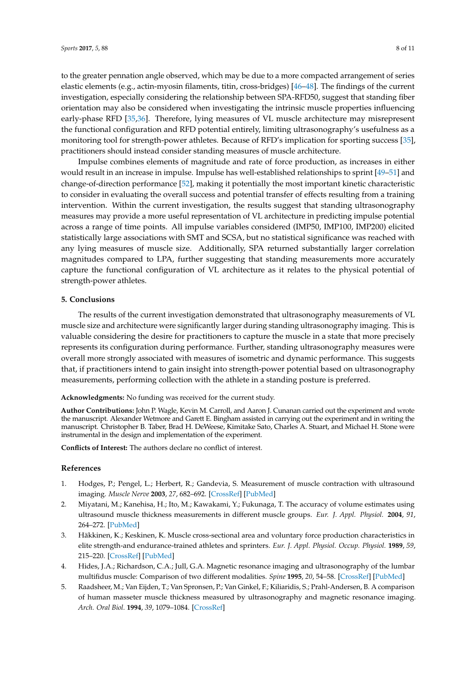to the greater pennation angle observed, which may be due to a more compacted arrangement of series elastic elements (e.g., actin-myosin filaments, titin, cross-bridges) [\[46–](#page-11-18)[48\]](#page-12-0). The findings of the current investigation, especially considering the relationship between SPA-RFD50, suggest that standing fiber orientation may also be considered when investigating the intrinsic muscle properties influencing early-phase RFD [\[35](#page-11-9)[,36\]](#page-11-10). Therefore, lying measures of VL muscle architecture may misrepresent the functional configuration and RFD potential entirely, limiting ultrasonography's usefulness as a monitoring tool for strength-power athletes. Because of RFD's implication for sporting success [\[35\]](#page-11-9), practitioners should instead consider standing measures of muscle architecture.

Impulse combines elements of magnitude and rate of force production, as increases in either would result in an increase in impulse. Impulse has well-established relationships to sprint [\[49–](#page-12-1)[51\]](#page-12-2) and change-of-direction performance [\[52\]](#page-12-3), making it potentially the most important kinetic characteristic to consider in evaluating the overall success and potential transfer of effects resulting from a training intervention. Within the current investigation, the results suggest that standing ultrasonography measures may provide a more useful representation of VL architecture in predicting impulse potential across a range of time points. All impulse variables considered (IMP50, IMP100, IMP200) elicited statistically large associations with SMT and SCSA, but no statistical significance was reached with any lying measures of muscle size. Additionally, SPA returned substantially larger correlation magnitudes compared to LPA, further suggesting that standing measurements more accurately capture the functional configuration of VL architecture as it relates to the physical potential of strength-power athletes.

### **5. Conclusions**

The results of the current investigation demonstrated that ultrasonography measurements of VL muscle size and architecture were significantly larger during standing ultrasonography imaging. This is valuable considering the desire for practitioners to capture the muscle in a state that more precisely represents its configuration during performance. Further, standing ultrasonography measures were overall more strongly associated with measures of isometric and dynamic performance. This suggests that, if practitioners intend to gain insight into strength-power potential based on ultrasonography measurements, performing collection with the athlete in a standing posture is preferred.

**Acknowledgments:** No funding was received for the current study.

**Author Contributions:** John P. Wagle, Kevin M. Carroll, and Aaron J. Cunanan carried out the experiment and wrote the manuscript. Alexander Wetmore and Garett E. Bingham assisted in carrying out the experiment and in writing the manuscript. Christopher B. Taber, Brad H. DeWeese, Kimitake Sato, Charles A. Stuart, and Michael H. Stone were instrumental in the design and implementation of the experiment.

**Conflicts of Interest:** The authors declare no conflict of interest.

### **References**

- <span id="page-9-0"></span>1. Hodges, P.; Pengel, L.; Herbert, R.; Gandevia, S. Measurement of muscle contraction with ultrasound imaging. *Muscle Nerve* **2003**, *27*, 682–692. [\[CrossRef\]](http://dx.doi.org/10.1002/mus.10375) [\[PubMed\]](http://www.ncbi.nlm.nih.gov/pubmed/12766979)
- 2. Miyatani, M.; Kanehisa, H.; Ito, M.; Kawakami, Y.; Fukunaga, T. The accuracy of volume estimates using ultrasound muscle thickness measurements in different muscle groups. *Eur. J. Appl. Physiol.* **2004**, *91*, 264–272. [\[PubMed\]](http://www.ncbi.nlm.nih.gov/pubmed/14569399)
- <span id="page-9-1"></span>3. Häkkinen, K.; Keskinen, K. Muscle cross-sectional area and voluntary force production characteristics in elite strength-and endurance-trained athletes and sprinters. *Eur. J. Appl. Physiol. Occup. Physiol.* **1989**, *59*, 215–220. [\[CrossRef\]](http://dx.doi.org/10.1007/BF02386190) [\[PubMed\]](http://www.ncbi.nlm.nih.gov/pubmed/2583165)
- <span id="page-9-2"></span>4. Hides, J.A.; Richardson, C.A.; Jull, G.A. Magnetic resonance imaging and ultrasonography of the lumbar multifidus muscle: Comparison of two different modalities. *Spine* **1995**, *20*, 54–58. [\[CrossRef\]](http://dx.doi.org/10.1097/00007632-199501000-00010) [\[PubMed\]](http://www.ncbi.nlm.nih.gov/pubmed/7709280)
- 5. Raadsheer, M.; Van Eijden, T.; Van Spronsen, P.; Van Ginkel, F.; Kiliaridis, S.; Prahl-Andersen, B. A comparison of human masseter muscle thickness measured by ultrasonography and magnetic resonance imaging. *Arch. Oral Biol.* **1994**, *39*, 1079–1084. [\[CrossRef\]](http://dx.doi.org/10.1016/0003-9969(94)90061-2)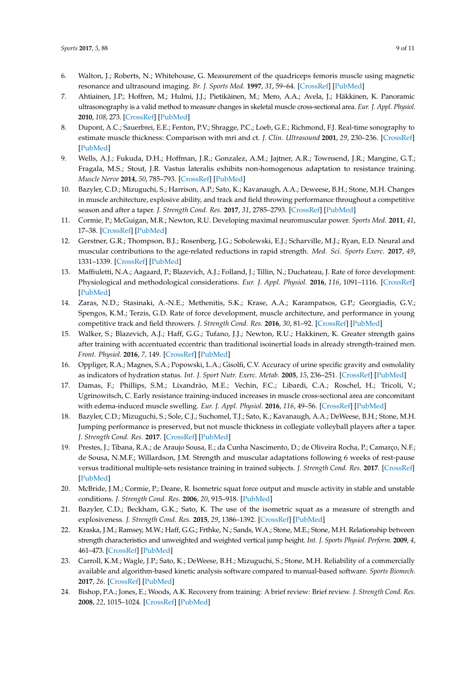- <span id="page-10-0"></span>6. Walton, J.; Roberts, N.; Whitehouse, G. Measurement of the quadriceps femoris muscle using magnetic resonance and ultrasound imaging. *Br. J. Sports Med.* **1997**, *31*, 59–64. [\[CrossRef\]](http://dx.doi.org/10.1136/bjsm.31.1.59) [\[PubMed\]](http://www.ncbi.nlm.nih.gov/pubmed/9132215)
- <span id="page-10-1"></span>7. Ahtiainen, J.P.; Hoffren, M.; Hulmi, J.J.; Pietikäinen, M.; Mero, A.A.; Avela, J.; Häkkinen, K. Panoramic ultrasonography is a valid method to measure changes in skeletal muscle cross-sectional area. *Eur. J. Appl. Physiol.* **2010**, *108*, 273. [\[CrossRef\]](http://dx.doi.org/10.1007/s00421-009-1211-6) [\[PubMed\]](http://www.ncbi.nlm.nih.gov/pubmed/19777252)
- <span id="page-10-2"></span>8. Dupont, A.C.; Sauerbrei, E.E.; Fenton, P.V.; Shragge, P.C.; Loeb, G.E.; Richmond, F.J. Real-time sonography to estimate muscle thickness: Comparison with mri and ct. *J. Clin. Ultrasound* **2001**, *29*, 230–236. [\[CrossRef\]](http://dx.doi.org/10.1002/jcu.1025) [\[PubMed\]](http://www.ncbi.nlm.nih.gov/pubmed/11323778)
- <span id="page-10-3"></span>9. Wells, A.J.; Fukuda, D.H.; Hoffman, J.R.; Gonzalez, A.M.; Jajtner, A.R.; Townsend, J.R.; Mangine, G.T.; Fragala, M.S.; Stout, J.R. Vastus lateralis exhibits non-homogenous adaptation to resistance training. *Muscle Nerve* **2014**, *50*, 785–793. [\[CrossRef\]](http://dx.doi.org/10.1002/mus.24222) [\[PubMed\]](http://www.ncbi.nlm.nih.gov/pubmed/24616036)
- <span id="page-10-4"></span>10. Bazyler, C.D.; Mizuguchi, S.; Harrison, A.P.; Sato, K.; Kavanaugh, A.A.; Deweese, B.H.; Stone, M.H. Changes in muscle architecture, explosive ability, and track and field throwing performance throughout a competitive season and after a taper. *J. Strength Cond. Res.* **2017**, *31*, 2785–2793. [\[CrossRef\]](http://dx.doi.org/10.1519/JSC.0000000000001619) [\[PubMed\]](http://www.ncbi.nlm.nih.gov/pubmed/27575250)
- <span id="page-10-5"></span>11. Cormie, P.; McGuigan, M.R.; Newton, R.U. Developing maximal neuromuscular power. *Sports Med.* **2011**, *41*, 17–38. [\[CrossRef\]](http://dx.doi.org/10.2165/11537690-000000000-00000) [\[PubMed\]](http://www.ncbi.nlm.nih.gov/pubmed/21142282)
- <span id="page-10-6"></span>12. Gerstner, G.R.; Thompson, B.J.; Rosenberg, J.G.; Sobolewski, E.J.; Scharville, M.J.; Ryan, E.D. Neural and muscular contributions to the age-related reductions in rapid strength. *Med. Sci. Sports Exerc.* **2017**, *49*, 1331–1339. [\[CrossRef\]](http://dx.doi.org/10.1249/MSS.0000000000001231) [\[PubMed\]](http://www.ncbi.nlm.nih.gov/pubmed/28166121)
- 13. Maffiuletti, N.A.; Aagaard, P.; Blazevich, A.J.; Folland, J.; Tillin, N.; Duchateau, J. Rate of force development: Physiological and methodological considerations. *Eur. J. Appl. Physiol.* **2016**, *116*, 1091–1116. [\[CrossRef\]](http://dx.doi.org/10.1007/s00421-016-3346-6) [\[PubMed\]](http://www.ncbi.nlm.nih.gov/pubmed/26941023)
- <span id="page-10-7"></span>14. Zaras, N.D.; Stasinaki, A.-N.E.; Methenitis, S.K.; Krase, A.A.; Karampatsos, G.P.; Georgiadis, G.V.; Spengos, K.M.; Terzis, G.D. Rate of force development, muscle architecture, and performance in young competitive track and field throwers. *J. Strength Cond. Res.* **2016**, *30*, 81–92. [\[CrossRef\]](http://dx.doi.org/10.1519/JSC.0000000000001048) [\[PubMed\]](http://www.ncbi.nlm.nih.gov/pubmed/26049793)
- <span id="page-10-8"></span>15. Walker, S.; Blazevich, A.J.; Haff, G.G.; Tufano, J.J.; Newton, R.U.; Hakkinen, K. Greater strength gains after training with accentuated eccentric than traditional isoinertial loads in already strength-trained men. *Front. Physiol.* **2016**, *7*, 149. [\[CrossRef\]](http://dx.doi.org/10.3389/fphys.2016.00149) [\[PubMed\]](http://www.ncbi.nlm.nih.gov/pubmed/27199764)
- <span id="page-10-9"></span>16. Oppliger, R.A.; Magnes, S.A.; Popowski, L.A.; Gisolfi, C.V. Accuracy of urine specific gravity and osmolality as indicators of hydration status. *Int. J. Sport Nutr. Exerc. Metab.* **2005**, *15*, 236–251. [\[CrossRef\]](http://dx.doi.org/10.1123/ijsnem.15.3.236) [\[PubMed\]](http://www.ncbi.nlm.nih.gov/pubmed/16131695)
- <span id="page-10-10"></span>17. Damas, F.; Phillips, S.M.; Lixandrão, M.E.; Vechin, F.C.; Libardi, C.A.; Roschel, H.; Tricoli, V.; Ugrinowitsch, C. Early resistance training-induced increases in muscle cross-sectional area are concomitant with edema-induced muscle swelling. *Eur. J. Appl. Physiol.* **2016**, *116*, 49–56. [\[CrossRef\]](http://dx.doi.org/10.1007/s00421-015-3243-4) [\[PubMed\]](http://www.ncbi.nlm.nih.gov/pubmed/26280652)
- <span id="page-10-11"></span>18. Bazyler, C.D.; Mizuguchi, S.; Sole, C.J.; Suchomel, T.J.; Sato, K.; Kavanaugh, A.A.; DeWeese, B.H.; Stone, M.H. Jumping performance is preserved, but not muscle thickness in collegiate volleyball players after a taper. *J. Strength Cond. Res.* **2017**. [\[CrossRef\]](http://dx.doi.org/10.1519/JSC.0000000000001912) [\[PubMed\]](http://www.ncbi.nlm.nih.gov/pubmed/28850561)
- <span id="page-10-12"></span>19. Prestes, J.; Tibana, R.A.; de Araujo Sousa, E.; da Cunha Nascimento, D.; de Oliveira Rocha, P.; Camarço, N.F.; de Sousa, N.M.F.; Willardson, J.M. Strength and muscular adaptations following 6 weeks of rest-pause versus traditional multiple-sets resistance training in trained subjects. *J. Strength Cond. Res.* **2017**. [\[CrossRef\]](http://dx.doi.org/10.1519/JSC.0000000000001923) [\[PubMed\]](http://www.ncbi.nlm.nih.gov/pubmed/28617715)
- <span id="page-10-13"></span>20. McBride, J.M.; Cormie, P.; Deane, R. Isometric squat force output and muscle activity in stable and unstable conditions. *J. Strength Cond. Res.* **2006**, *20*, 915–918. [\[PubMed\]](http://www.ncbi.nlm.nih.gov/pubmed/17194253)
- <span id="page-10-14"></span>21. Bazyler, C.D.; Beckham, G.K.; Sato, K. The use of the isometric squat as a measure of strength and explosiveness. *J. Strength Cond. Res.* **2015**, *29*, 1386–1392. [\[CrossRef\]](http://dx.doi.org/10.1519/JSC.0000000000000751) [\[PubMed\]](http://www.ncbi.nlm.nih.gov/pubmed/25426517)
- <span id="page-10-15"></span>22. Kraska, J.M.; Ramsey, M.W.; Haff, G.G.; Frthke, N.; Sands, W.A.; Stone, M.E.; Stone, M.H. Relationship between strength characteristics and unweighted and weighted vertical jump height. *Int. J. Sports Physiol. Perform.* **2009**, *4*, 461–473. [\[CrossRef\]](http://dx.doi.org/10.1123/ijspp.4.4.461) [\[PubMed\]](http://www.ncbi.nlm.nih.gov/pubmed/20029097)
- <span id="page-10-16"></span>23. Carroll, K.M.; Wagle, J.P.; Sato, K.; DeWeese, B.H.; Mizuguchi, S.; Stone, M.H. Reliability of a commercially available and algorithm-based kinetic analysis software compared to manual-based software. *Sports Biomech.* **2017**, *26*. [\[CrossRef\]](http://dx.doi.org/10.1080/14763141.2017.1372514) [\[PubMed\]](http://www.ncbi.nlm.nih.gov/pubmed/28949273)
- <span id="page-10-17"></span>24. Bishop, P.A.; Jones, E.; Woods, A.K. Recovery from training: A brief review: Brief review. *J. Strength Cond. Res.* **2008**, *22*, 1015–1024. [\[CrossRef\]](http://dx.doi.org/10.1519/JSC.0b013e31816eb518) [\[PubMed\]](http://www.ncbi.nlm.nih.gov/pubmed/18438210)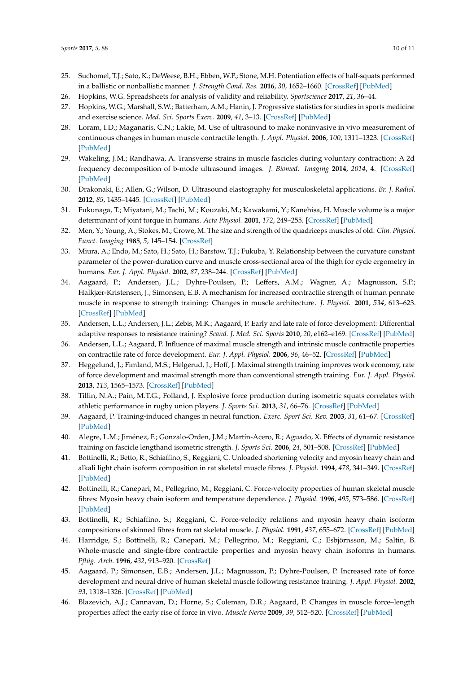- <span id="page-11-0"></span>25. Suchomel, T.J.; Sato, K.; DeWeese, B.H.; Ebben, W.P.; Stone, M.H. Potentiation effects of half-squats performed in a ballistic or nonballistic manner. *J. Strength Cond. Res.* **2016**, *30*, 1652–1660. [\[CrossRef\]](http://dx.doi.org/10.1519/JSC.0000000000001251) [\[PubMed\]](http://www.ncbi.nlm.nih.gov/pubmed/26544089)
- <span id="page-11-1"></span>26. Hopkins, W.G. Spreadsheets for analysis of validity and reliability. *Sportscience* **2017**, *21*, 36–44.
- <span id="page-11-2"></span>27. Hopkins, W.G.; Marshall, S.W.; Batterham, A.M.; Hanin, J. Progressive statistics for studies in sports medicine and exercise science. *Med. Sci. Sports Exerc.* **2009**, *41*, 3–13. [\[CrossRef\]](http://dx.doi.org/10.1249/MSS.0b013e31818cb278) [\[PubMed\]](http://www.ncbi.nlm.nih.gov/pubmed/19092709)
- <span id="page-11-3"></span>28. Loram, I.D.; Maganaris, C.N.; Lakie, M. Use of ultrasound to make noninvasive in vivo measurement of continuous changes in human muscle contractile length. *J. Appl. Physiol.* **2006**, *100*, 1311–1323. [\[CrossRef\]](http://dx.doi.org/10.1152/japplphysiol.01229.2005) [\[PubMed\]](http://www.ncbi.nlm.nih.gov/pubmed/16339341)
- <span id="page-11-4"></span>29. Wakeling, J.M.; Randhawa, A. Transverse strains in muscle fascicles during voluntary contraction: A 2d frequency decomposition of b-mode ultrasound images. *J. Biomed. Imaging* **2014**, *2014*, 4. [\[CrossRef\]](http://dx.doi.org/10.1155/2014/352910) [\[PubMed\]](http://www.ncbi.nlm.nih.gov/pubmed/25328509)
- <span id="page-11-5"></span>30. Drakonaki, E.; Allen, G.; Wilson, D. Ultrasound elastography for musculoskeletal applications. *Br. J. Radiol.* **2012**, *85*, 1435–1445. [\[CrossRef\]](http://dx.doi.org/10.1259/bjr/93042867) [\[PubMed\]](http://www.ncbi.nlm.nih.gov/pubmed/23091287)
- <span id="page-11-6"></span>31. Fukunaga, T.; Miyatani, M.; Tachi, M.; Kouzaki, M.; Kawakami, Y.; Kanehisa, H. Muscle volume is a major determinant of joint torque in humans. *Acta Physiol.* **2001**, *172*, 249–255. [\[CrossRef\]](http://dx.doi.org/10.1046/j.1365-201x.2001.00867.x) [\[PubMed\]](http://www.ncbi.nlm.nih.gov/pubmed/11531646)
- 32. Men, Y.; Young, A.; Stokes, M.; Crowe, M. The size and strength of the quadriceps muscles of old. *Clin. Physiol. Funct. Imaging* **1985**, *5*, 145–154. [\[CrossRef\]](http://dx.doi.org/10.1111/j.1475-097X.1985.tb00590.x)
- <span id="page-11-7"></span>33. Miura, A.; Endo, M.; Sato, H.; Sato, H.; Barstow, T.J.; Fukuba, Y. Relationship between the curvature constant parameter of the power-duration curve and muscle cross-sectional area of the thigh for cycle ergometry in humans. *Eur. J. Appl. Physiol.* **2002**, *87*, 238–244. [\[CrossRef\]](http://dx.doi.org/10.1007/s00421-002-0623-3) [\[PubMed\]](http://www.ncbi.nlm.nih.gov/pubmed/12111284)
- <span id="page-11-8"></span>34. Aagaard, P.; Andersen, J.L.; Dyhre-Poulsen, P.; Leffers, A.M.; Wagner, A.; Magnusson, S.P.; Halkjær-Kristensen, J.; Simonsen, E.B. A mechanism for increased contractile strength of human pennate muscle in response to strength training: Changes in muscle architecture. *J. Physiol.* **2001**, *534*, 613–623. [\[CrossRef\]](http://dx.doi.org/10.1111/j.1469-7793.2001.t01-1-00613.x) [\[PubMed\]](http://www.ncbi.nlm.nih.gov/pubmed/11454977)
- <span id="page-11-9"></span>35. Andersen, L.L.; Andersen, J.L.; Zebis, M.K.; Aagaard, P. Early and late rate of force development: Differential adaptive responses to resistance training? *Scand. J. Med. Sci. Sports* **2010**, *20*, e162–e169. [\[CrossRef\]](http://dx.doi.org/10.1111/j.1600-0838.2009.00933.x) [\[PubMed\]](http://www.ncbi.nlm.nih.gov/pubmed/19793220)
- <span id="page-11-10"></span>36. Andersen, L.L.; Aagaard, P. Influence of maximal muscle strength and intrinsic muscle contractile properties on contractile rate of force development. *Eur. J. Appl. Physiol.* **2006**, *96*, 46–52. [\[CrossRef\]](http://dx.doi.org/10.1007/s00421-005-0070-z) [\[PubMed\]](http://www.ncbi.nlm.nih.gov/pubmed/16249918)
- <span id="page-11-11"></span>37. Heggelund, J.; Fimland, M.S.; Helgerud, J.; Hoff, J. Maximal strength training improves work economy, rate of force development and maximal strength more than conventional strength training. *Eur. J. Appl. Physiol.* **2013**, *113*, 1565–1573. [\[CrossRef\]](http://dx.doi.org/10.1007/s00421-013-2586-y) [\[PubMed\]](http://www.ncbi.nlm.nih.gov/pubmed/23307029)
- <span id="page-11-12"></span>38. Tillin, N.A.; Pain, M.T.G.; Folland, J. Explosive force production during isometric squats correlates with athletic performance in rugby union players. *J. Sports Sci.* **2013**, *31*, 66–76. [\[CrossRef\]](http://dx.doi.org/10.1080/02640414.2012.720704) [\[PubMed\]](http://www.ncbi.nlm.nih.gov/pubmed/22938509)
- <span id="page-11-13"></span>39. Aagaard, P. Training-induced changes in neural function. *Exerc. Sport Sci. Rev.* **2003**, *31*, 61–67. [\[CrossRef\]](http://dx.doi.org/10.1097/00003677-200304000-00002) [\[PubMed\]](http://www.ncbi.nlm.nih.gov/pubmed/12715968)
- <span id="page-11-14"></span>40. Alegre, L.M.; Jiménez, F.; Gonzalo-Orden, J.M.; Martín-Acero, R.; Aguado, X. Effects of dynamic resistance training on fascicle lengthand isometric strength. *J. Sports Sci.* **2006**, *24*, 501–508. [\[CrossRef\]](http://dx.doi.org/10.1080/02640410500189322) [\[PubMed\]](http://www.ncbi.nlm.nih.gov/pubmed/16608764)
- <span id="page-11-15"></span>41. Bottinelli, R.; Betto, R.; Schiaffino, S.; Reggiani, C. Unloaded shortening velocity and myosin heavy chain and alkali light chain isoform composition in rat skeletal muscle fibres. *J. Physiol.* **1994**, *478*, 341–349. [\[CrossRef\]](http://dx.doi.org/10.1113/jphysiol.1994.sp020254) [\[PubMed\]](http://www.ncbi.nlm.nih.gov/pubmed/7965849)
- 42. Bottinelli, R.; Canepari, M.; Pellegrino, M.; Reggiani, C. Force-velocity properties of human skeletal muscle fibres: Myosin heavy chain isoform and temperature dependence. *J. Physiol.* **1996**, *495*, 573–586. [\[CrossRef\]](http://dx.doi.org/10.1113/jphysiol.1996.sp021617) [\[PubMed\]](http://www.ncbi.nlm.nih.gov/pubmed/8887767)
- 43. Bottinelli, R.; Schiaffino, S.; Reggiani, C. Force-velocity relations and myosin heavy chain isoform compositions of skinned fibres from rat skeletal muscle. *J. Physiol.* **1991**, *437*, 655–672. [\[CrossRef\]](http://dx.doi.org/10.1113/jphysiol.1991.sp018617) [\[PubMed\]](http://www.ncbi.nlm.nih.gov/pubmed/1890654)
- <span id="page-11-16"></span>44. Harridge, S.; Bottinelli, R.; Canepari, M.; Pellegrino, M.; Reggiani, C.; Esbjörnsson, M.; Saltin, B. Whole-muscle and single-fibre contractile properties and myosin heavy chain isoforms in humans. *Pflüg. Arch.* **1996**, *432*, 913–920. [\[CrossRef\]](http://dx.doi.org/10.1007/s004240050215)
- <span id="page-11-17"></span>45. Aagaard, P.; Simonsen, E.B.; Andersen, J.L.; Magnusson, P.; Dyhre-Poulsen, P. Increased rate of force development and neural drive of human skeletal muscle following resistance training. *J. Appl. Physiol.* **2002**, *93*, 1318–1326. [\[CrossRef\]](http://dx.doi.org/10.1152/japplphysiol.00283.2002) [\[PubMed\]](http://www.ncbi.nlm.nih.gov/pubmed/12235031)
- <span id="page-11-18"></span>46. Blazevich, A.J.; Cannavan, D.; Horne, S.; Coleman, D.R.; Aagaard, P. Changes in muscle force–length properties affect the early rise of force in vivo. *Muscle Nerve* **2009**, *39*, 512–520. [\[CrossRef\]](http://dx.doi.org/10.1002/mus.21259) [\[PubMed\]](http://www.ncbi.nlm.nih.gov/pubmed/19296490)